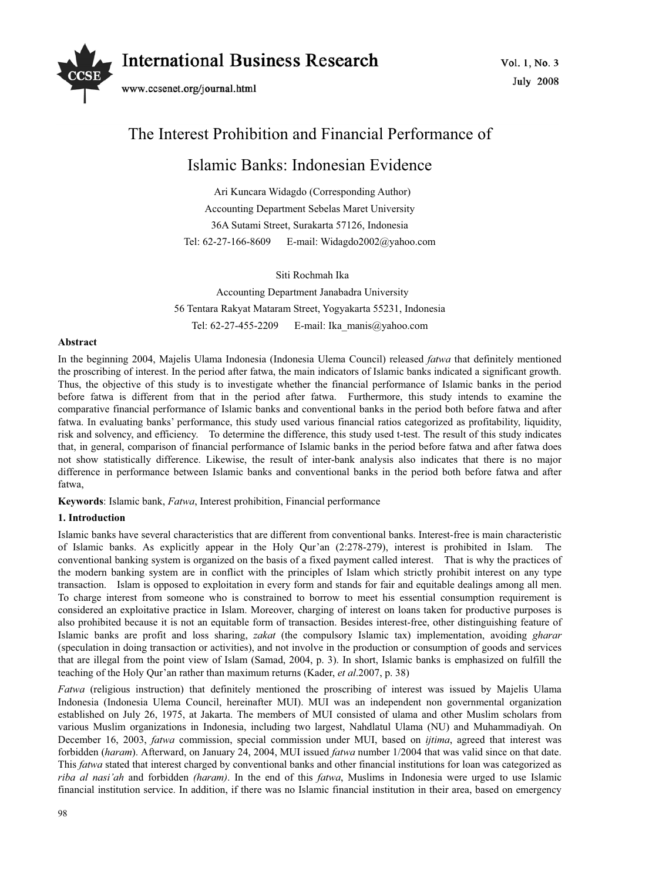

# The Interest Prohibition and Financial Performance of

# Islamic Banks: Indonesian Evidence

 Ari Kuncara Widagdo (Corresponding Author) Accounting Department Sebelas Maret University 36A Sutami Street, Surakarta 57126, Indonesia Tel: 62-27-166-8609 E-mail: Widagdo2002@yahoo.com

Siti Rochmah Ika Accounting Department Janabadra University 56 Tentara Rakyat Mataram Street, Yogyakarta 55231, Indonesia Tel: 62-27-455-2209 E-mail: Ika\_manis@yahoo.com

#### **Abstract**

In the beginning 2004, Majelis Ulama Indonesia (Indonesia Ulema Council) released *fatwa* that definitely mentioned the proscribing of interest. In the period after fatwa, the main indicators of Islamic banks indicated a significant growth. Thus, the objective of this study is to investigate whether the financial performance of Islamic banks in the period before fatwa is different from that in the period after fatwa. Furthermore, this study intends to examine the comparative financial performance of Islamic banks and conventional banks in the period both before fatwa and after fatwa. In evaluating banks' performance, this study used various financial ratios categorized as profitability, liquidity, risk and solvency, and efficiency. To determine the difference, this study used t-test. The result of this study indicates that, in general, comparison of financial performance of Islamic banks in the period before fatwa and after fatwa does not show statistically difference. Likewise, the result of inter-bank analysis also indicates that there is no major difference in performance between Islamic banks and conventional banks in the period both before fatwa and after fatwa,

**Keywords**: Islamic bank, *Fatwa*, Interest prohibition, Financial performance

# **1. Introduction**

Islamic banks have several characteristics that are different from conventional banks. Interest-free is main characteristic of Islamic banks. As explicitly appear in the Holy Qur'an (2:278-279), interest is prohibited in Islam. The conventional banking system is organized on the basis of a fixed payment called interest. That is why the practices of the modern banking system are in conflict with the principles of Islam which strictly prohibit interest on any type transaction. Islam is opposed to exploitation in every form and stands for fair and equitable dealings among all men. To charge interest from someone who is constrained to borrow to meet his essential consumption requirement is considered an exploitative practice in Islam. Moreover, charging of interest on loans taken for productive purposes is also prohibited because it is not an equitable form of transaction. Besides interest-free, other distinguishing feature of Islamic banks are profit and loss sharing, *zakat* (the compulsory Islamic tax) implementation, avoiding *gharar* (speculation in doing transaction or activities), and not involve in the production or consumption of goods and services that are illegal from the point view of Islam (Samad, 2004, p. 3). In short, Islamic banks is emphasized on fulfill the teaching of the Holy Qur'an rather than maximum returns (Kader, *et al*.2007, p. 38)

*Fatwa* (religious instruction) that definitely mentioned the proscribing of interest was issued by Majelis Ulama Indonesia (Indonesia Ulema Council, hereinafter MUI). MUI was an independent non governmental organization established on July 26, 1975, at Jakarta. The members of MUI consisted of ulama and other Muslim scholars from various Muslim organizations in Indonesia, including two largest, Nahdlatul Ulama (NU) and Muhammadiyah. On December 16, 2003, *fatwa* commission, special commission under MUI, based on *ijtima*, agreed that interest was forbidden (*haram*). Afterward, on January 24, 2004, MUI issued *fatwa* number 1/2004 that was valid since on that date. This *fatwa* stated that interest charged by conventional banks and other financial institutions for loan was categorized as *riba al nasi'ah* and forbidden *(haram)*. In the end of this *fatwa*, Muslims in Indonesia were urged to use Islamic financial institution service. In addition, if there was no Islamic financial institution in their area, based on emergency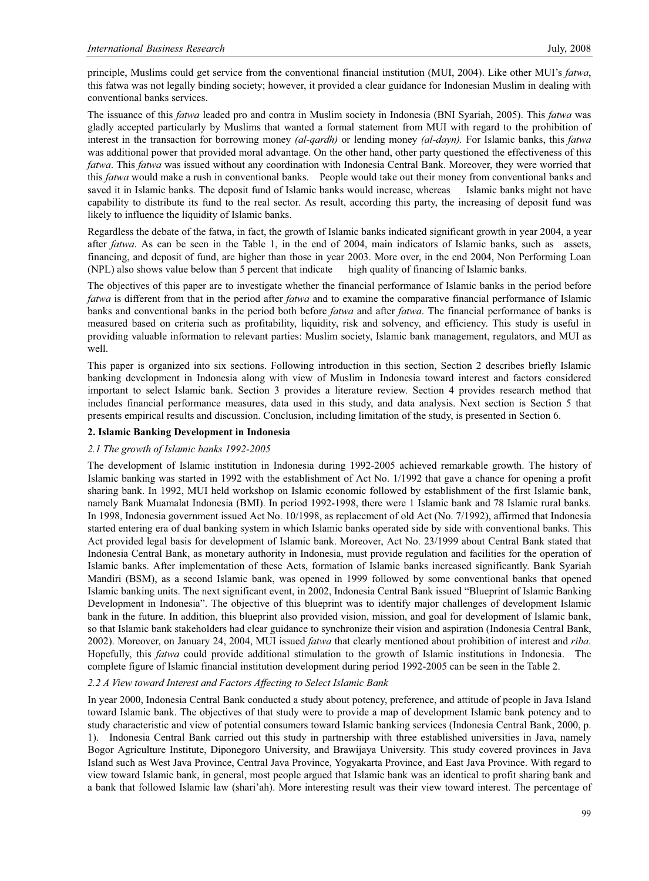principle, Muslims could get service from the conventional financial institution (MUI, 2004). Like other MUI's *fatwa*, this fatwa was not legally binding society; however, it provided a clear guidance for Indonesian Muslim in dealing with conventional banks services.

The issuance of this *fatwa* leaded pro and contra in Muslim society in Indonesia (BNI Syariah, 2005). This *fatwa* was gladly accepted particularly by Muslims that wanted a formal statement from MUI with regard to the prohibition of interest in the transaction for borrowing money *(al-qardh)* or lending money *(al-dayn).* For Islamic banks, this *fatwa* was additional power that provided moral advantage. On the other hand, other party questioned the effectiveness of this *fatwa*. This *fatwa* was issued without any coordination with Indonesia Central Bank. Moreover, they were worried that this *fatwa* would make a rush in conventional banks. People would take out their money from conventional banks and saved it in Islamic banks. The deposit fund of Islamic banks would increase, whereas Islamic banks might not have capability to distribute its fund to the real sector. As result, according this party, the increasing of deposit fund was likely to influence the liquidity of Islamic banks.

Regardless the debate of the fatwa, in fact, the growth of Islamic banks indicated significant growth in year 2004, a year after *fatwa*. As can be seen in the Table 1, in the end of 2004, main indicators of Islamic banks, such as assets, financing, and deposit of fund, are higher than those in year 2003. More over, in the end 2004, Non Performing Loan (NPL) also shows value below than 5 percent that indicate high quality of financing of Islamic banks.

The objectives of this paper are to investigate whether the financial performance of Islamic banks in the period before *fatwa* is different from that in the period after *fatwa* and to examine the comparative financial performance of Islamic banks and conventional banks in the period both before *fatwa* and after *fatwa*. The financial performance of banks is measured based on criteria such as profitability, liquidity, risk and solvency, and efficiency. This study is useful in providing valuable information to relevant parties: Muslim society, Islamic bank management, regulators, and MUI as well.

This paper is organized into six sections. Following introduction in this section, Section 2 describes briefly Islamic banking development in Indonesia along with view of Muslim in Indonesia toward interest and factors considered important to select Islamic bank. Section 3 provides a literature review. Section 4 provides research method that includes financial performance measures, data used in this study, and data analysis. Next section is Section 5 that presents empirical results and discussion. Conclusion, including limitation of the study, is presented in Section 6.

## **2. Islamic Banking Development in Indonesia**

# *2.1 The growth of Islamic banks 1992-2005*

The development of Islamic institution in Indonesia during 1992-2005 achieved remarkable growth. The history of Islamic banking was started in 1992 with the establishment of Act No. 1/1992 that gave a chance for opening a profit sharing bank. In 1992, MUI held workshop on Islamic economic followed by establishment of the first Islamic bank, namely Bank Muamalat Indonesia (BMI). In period 1992-1998, there were 1 Islamic bank and 78 Islamic rural banks. In 1998, Indonesia government issued Act No. 10/1998, as replacement of old Act (No. 7/1992), affirmed that Indonesia started entering era of dual banking system in which Islamic banks operated side by side with conventional banks. This Act provided legal basis for development of Islamic bank. Moreover, Act No. 23/1999 about Central Bank stated that Indonesia Central Bank, as monetary authority in Indonesia, must provide regulation and facilities for the operation of Islamic banks. After implementation of these Acts, formation of Islamic banks increased significantly. Bank Syariah Mandiri (BSM), as a second Islamic bank, was opened in 1999 followed by some conventional banks that opened Islamic banking units. The next significant event, in 2002, Indonesia Central Bank issued "Blueprint of Islamic Banking Development in Indonesia". The objective of this blueprint was to identify major challenges of development Islamic bank in the future. In addition, this blueprint also provided vision, mission, and goal for development of Islamic bank, so that Islamic bank stakeholders had clear guidance to synchronize their vision and aspiration (Indonesia Central Bank, 2002). Moreover, on January 24, 2004, MUI issued *fatwa* that clearly mentioned about prohibition of interest and *riba*. Hopefully, this *fatwa* could provide additional stimulation to the growth of Islamic institutions in Indonesia. The complete figure of Islamic financial institution development during period 1992-2005 can be seen in the Table 2.

# *2.2 A View toward Interest and Factors Affecting to Select Islamic Bank*

In year 2000, Indonesia Central Bank conducted a study about potency, preference, and attitude of people in Java Island toward Islamic bank. The objectives of that study were to provide a map of development Islamic bank potency and to study characteristic and view of potential consumers toward Islamic banking services (Indonesia Central Bank, 2000, p. 1). Indonesia Central Bank carried out this study in partnership with three established universities in Java, namely Bogor Agriculture Institute, Diponegoro University, and Brawijaya University. This study covered provinces in Java Island such as West Java Province, Central Java Province, Yogyakarta Province, and East Java Province. With regard to view toward Islamic bank, in general, most people argued that Islamic bank was an identical to profit sharing bank and a bank that followed Islamic law (shari'ah). More interesting result was their view toward interest. The percentage of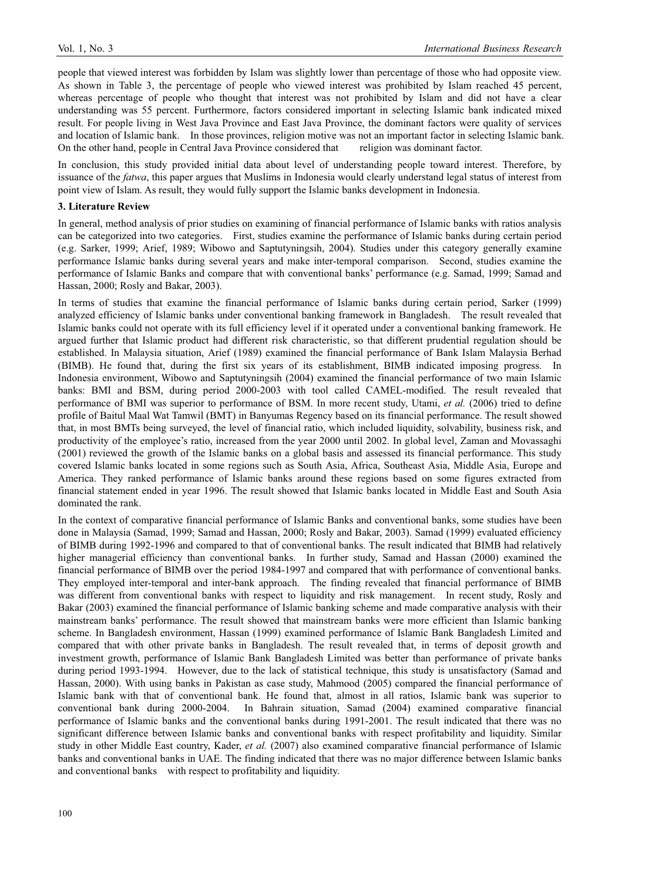people that viewed interest was forbidden by Islam was slightly lower than percentage of those who had opposite view. As shown in Table 3, the percentage of people who viewed interest was prohibited by Islam reached 45 percent, whereas percentage of people who thought that interest was not prohibited by Islam and did not have a clear understanding was 55 percent. Furthermore, factors considered important in selecting Islamic bank indicated mixed result. For people living in West Java Province and East Java Province, the dominant factors were quality of services and location of Islamic bank. In those provinces, religion motive was not an important factor in selecting Islamic bank. On the other hand, people in Central Java Province considered that religion was dominant factor.

In conclusion, this study provided initial data about level of understanding people toward interest. Therefore, by issuance of the *fatwa*, this paper argues that Muslims in Indonesia would clearly understand legal status of interest from point view of Islam. As result, they would fully support the Islamic banks development in Indonesia.

#### **3. Literature Review**

In general, method analysis of prior studies on examining of financial performance of Islamic banks with ratios analysis can be categorized into two categories. First, studies examine the performance of Islamic banks during certain period (e.g. Sarker, 1999; Arief, 1989; Wibowo and Saptutyningsih, 2004). Studies under this category generally examine performance Islamic banks during several years and make inter-temporal comparison. Second, studies examine the performance of Islamic Banks and compare that with conventional banks' performance (e.g. Samad, 1999; Samad and Hassan, 2000; Rosly and Bakar, 2003).

In terms of studies that examine the financial performance of Islamic banks during certain period, Sarker (1999) analyzed efficiency of Islamic banks under conventional banking framework in Bangladesh. The result revealed that Islamic banks could not operate with its full efficiency level if it operated under a conventional banking framework. He argued further that Islamic product had different risk characteristic, so that different prudential regulation should be established. In Malaysia situation, Arief (1989) examined the financial performance of Bank Islam Malaysia Berhad (BIMB). He found that, during the first six years of its establishment, BIMB indicated imposing progress. In Indonesia environment, Wibowo and Saptutyningsih (2004) examined the financial performance of two main Islamic banks: BMI and BSM, during period 2000-2003 with tool called CAMEL-modified. The result revealed that performance of BMI was superior to performance of BSM. In more recent study, Utami, *et al.* (2006) tried to define profile of Baitul Maal Wat Tamwil (BMT) in Banyumas Regency based on its financial performance. The result showed that, in most BMTs being surveyed, the level of financial ratio, which included liquidity, solvability, business risk, and productivity of the employee's ratio, increased from the year 2000 until 2002. In global level, Zaman and Movassaghi (2001) reviewed the growth of the Islamic banks on a global basis and assessed its financial performance. This study covered Islamic banks located in some regions such as South Asia, Africa, Southeast Asia, Middle Asia, Europe and America. They ranked performance of Islamic banks around these regions based on some figures extracted from financial statement ended in year 1996. The result showed that Islamic banks located in Middle East and South Asia dominated the rank.

In the context of comparative financial performance of Islamic Banks and conventional banks, some studies have been done in Malaysia (Samad, 1999; Samad and Hassan, 2000; Rosly and Bakar, 2003). Samad (1999) evaluated efficiency of BIMB during 1992-1996 and compared to that of conventional banks. The result indicated that BIMB had relatively higher managerial efficiency than conventional banks. In further study, Samad and Hassan (2000) examined the financial performance of BIMB over the period 1984-1997 and compared that with performance of conventional banks. They employed inter-temporal and inter-bank approach. The finding revealed that financial performance of BIMB was different from conventional banks with respect to liquidity and risk management. In recent study, Rosly and Bakar (2003) examined the financial performance of Islamic banking scheme and made comparative analysis with their mainstream banks' performance. The result showed that mainstream banks were more efficient than Islamic banking scheme. In Bangladesh environment, Hassan (1999) examined performance of Islamic Bank Bangladesh Limited and compared that with other private banks in Bangladesh. The result revealed that, in terms of deposit growth and investment growth, performance of Islamic Bank Bangladesh Limited was better than performance of private banks during period 1993-1994. However, due to the lack of statistical technique, this study is unsatisfactory (Samad and Hassan, 2000). With using banks in Pakistan as case study, Mahmood (2005) compared the financial performance of Islamic bank with that of conventional bank. He found that, almost in all ratios, Islamic bank was superior to conventional bank during 2000-2004. In Bahrain situation, Samad (2004) examined comparative financial performance of Islamic banks and the conventional banks during 1991-2001. The result indicated that there was no significant difference between Islamic banks and conventional banks with respect profitability and liquidity. Similar study in other Middle East country, Kader, *et al.* (2007) also examined comparative financial performance of Islamic banks and conventional banks in UAE. The finding indicated that there was no major difference between Islamic banks and conventional banks with respect to profitability and liquidity.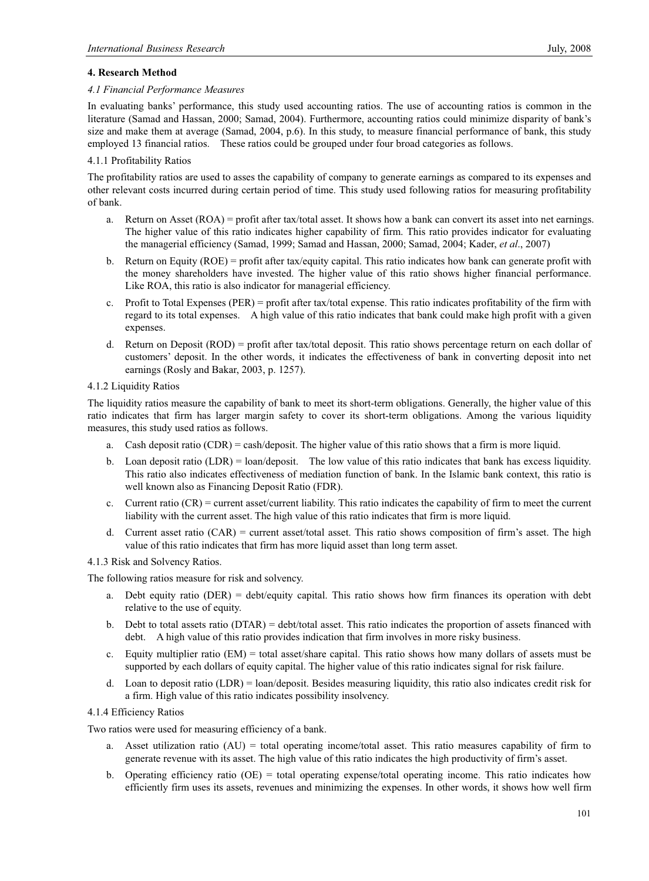# **4. Research Method**

#### *4.1 Financial Performance Measures*

In evaluating banks' performance, this study used accounting ratios. The use of accounting ratios is common in the literature (Samad and Hassan, 2000; Samad, 2004). Furthermore, accounting ratios could minimize disparity of bank's size and make them at average (Samad, 2004, p.6). In this study, to measure financial performance of bank, this study employed 13 financial ratios. These ratios could be grouped under four broad categories as follows.

## 4.1.1 Profitability Ratios

The profitability ratios are used to asses the capability of company to generate earnings as compared to its expenses and other relevant costs incurred during certain period of time. This study used following ratios for measuring profitability of bank.

- a. Return on Asset (ROA) = profit after tax/total asset. It shows how a bank can convert its asset into net earnings. The higher value of this ratio indicates higher capability of firm. This ratio provides indicator for evaluating the managerial efficiency (Samad, 1999; Samad and Hassan, 2000; Samad, 2004; Kader, *et al*., 2007)
- b. Return on Equity (ROE) = profit after tax/equity capital. This ratio indicates how bank can generate profit with the money shareholders have invested. The higher value of this ratio shows higher financial performance. Like ROA, this ratio is also indicator for managerial efficiency.
- c. Profit to Total Expenses (PER) = profit after tax/total expense. This ratio indicates profitability of the firm with regard to its total expenses. A high value of this ratio indicates that bank could make high profit with a given expenses.
- d. Return on Deposit (ROD) = profit after tax/total deposit. This ratio shows percentage return on each dollar of customers' deposit. In the other words, it indicates the effectiveness of bank in converting deposit into net earnings (Rosly and Bakar, 2003, p. 1257).

# 4.1.2 Liquidity Ratios

The liquidity ratios measure the capability of bank to meet its short-term obligations. Generally, the higher value of this ratio indicates that firm has larger margin safety to cover its short-term obligations. Among the various liquidity measures, this study used ratios as follows.

- a. Cash deposit ratio (CDR) = cash/deposit. The higher value of this ratio shows that a firm is more liquid.
- b. Loan deposit ratio (LDR) = loan/deposit. The low value of this ratio indicates that bank has excess liquidity. This ratio also indicates effectiveness of mediation function of bank. In the Islamic bank context, this ratio is well known also as Financing Deposit Ratio (FDR).
- c. Current ratio  $(CR)$  = current asset/current liability. This ratio indicates the capability of firm to meet the current liability with the current asset. The high value of this ratio indicates that firm is more liquid.
- d. Current asset ratio (CAR) = current asset/total asset. This ratio shows composition of firm's asset. The high value of this ratio indicates that firm has more liquid asset than long term asset.

# 4.1.3 Risk and Solvency Ratios.

The following ratios measure for risk and solvency.

- a. Debt equity ratio (DER) = debt/equity capital. This ratio shows how firm finances its operation with debt relative to the use of equity.
- b. Debt to total assets ratio (DTAR) = debt/total asset. This ratio indicates the proportion of assets financed with debt. A high value of this ratio provides indication that firm involves in more risky business.
- c. Equity multiplier ratio (EM) = total asset/share capital. This ratio shows how many dollars of assets must be supported by each dollars of equity capital. The higher value of this ratio indicates signal for risk failure.
- d. Loan to deposit ratio (LDR) = loan/deposit. Besides measuring liquidity, this ratio also indicates credit risk for a firm. High value of this ratio indicates possibility insolvency.

#### 4.1.4 Efficiency Ratios

Two ratios were used for measuring efficiency of a bank.

- a. Asset utilization ratio (AU) = total operating income/total asset. This ratio measures capability of firm to generate revenue with its asset. The high value of this ratio indicates the high productivity of firm's asset.
- b. Operating efficiency ratio (OE) = total operating expense/total operating income. This ratio indicates how efficiently firm uses its assets, revenues and minimizing the expenses. In other words, it shows how well firm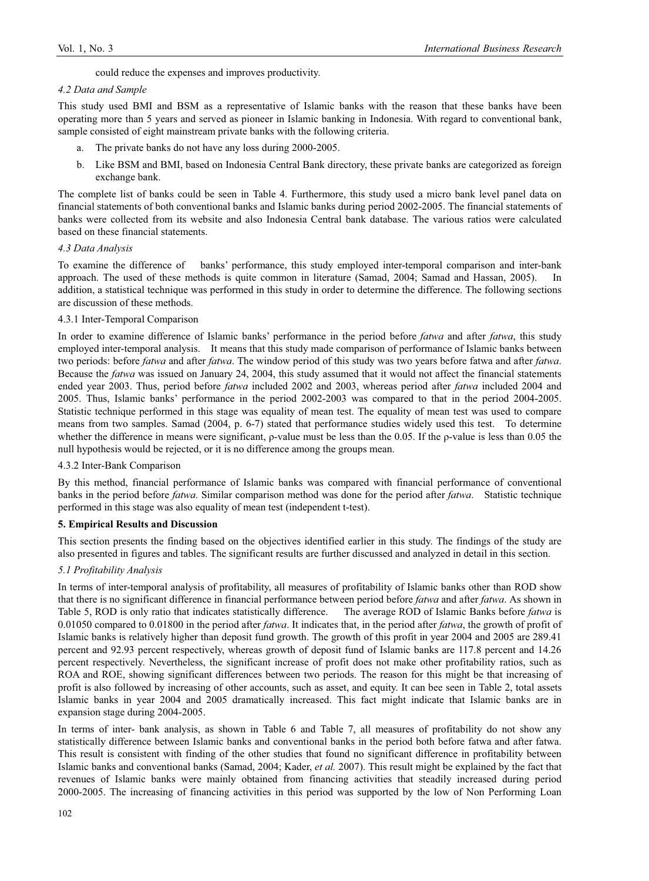could reduce the expenses and improves productivity.

#### *4.2 Data and Sample*

This study used BMI and BSM as a representative of Islamic banks with the reason that these banks have been operating more than 5 years and served as pioneer in Islamic banking in Indonesia. With regard to conventional bank, sample consisted of eight mainstream private banks with the following criteria.

- a. The private banks do not have any loss during 2000-2005.
- b. Like BSM and BMI, based on Indonesia Central Bank directory, these private banks are categorized as foreign exchange bank.

The complete list of banks could be seen in Table 4. Furthermore, this study used a micro bank level panel data on financial statements of both conventional banks and Islamic banks during period 2002-2005. The financial statements of banks were collected from its website and also Indonesia Central bank database. The various ratios were calculated based on these financial statements.

#### *4.3 Data Analysis*

To examine the difference of banks' performance, this study employed inter-temporal comparison and inter-bank approach. The used of these methods is quite common in literature (Samad, 2004; Samad and Hassan, 2005). In addition, a statistical technique was performed in this study in order to determine the difference. The following sections are discussion of these methods.

#### 4.3.1 Inter-Temporal Comparison

In order to examine difference of Islamic banks' performance in the period before *fatwa* and after *fatwa*, this study employed inter-temporal analysis. It means that this study made comparison of performance of Islamic banks between two periods: before *fatwa* and after *fatwa*. The window period of this study was two years before fatwa and after *fatwa*. Because the *fatwa* was issued on January 24, 2004, this study assumed that it would not affect the financial statements ended year 2003. Thus, period before *fatwa* included 2002 and 2003, whereas period after *fatwa* included 2004 and 2005. Thus, Islamic banks' performance in the period 2002-2003 was compared to that in the period 2004-2005. Statistic technique performed in this stage was equality of mean test. The equality of mean test was used to compare means from two samples. Samad (2004, p. 6-7) stated that performance studies widely used this test. To determine whether the difference in means were significant,  $\rho$ -value must be less than the 0.05. If the  $\rho$ -value is less than 0.05 the null hypothesis would be rejected, or it is no difference among the groups mean.

# 4.3.2 Inter-Bank Comparison

By this method, financial performance of Islamic banks was compared with financial performance of conventional banks in the period before *fatwa*. Similar comparison method was done for the period after *fatwa*. Statistic technique performed in this stage was also equality of mean test (independent t-test).

#### **5. Empirical Results and Discussion**

This section presents the finding based on the objectives identified earlier in this study. The findings of the study are also presented in figures and tables. The significant results are further discussed and analyzed in detail in this section.

# *5.1 Profitability Analysis*

In terms of inter-temporal analysis of profitability, all measures of profitability of Islamic banks other than ROD show that there is no significant difference in financial performance between period before *fatwa* and after *fatwa*. As shown in Table 5, ROD is only ratio that indicates statistically difference. The average ROD of Islamic Banks before *fatwa* is 0.01050 compared to 0.01800 in the period after *fatwa*. It indicates that, in the period after *fatwa*, the growth of profit of Islamic banks is relatively higher than deposit fund growth. The growth of this profit in year 2004 and 2005 are 289.41 percent and 92.93 percent respectively, whereas growth of deposit fund of Islamic banks are 117.8 percent and 14.26 percent respectively. Nevertheless, the significant increase of profit does not make other profitability ratios, such as ROA and ROE, showing significant differences between two periods. The reason for this might be that increasing of profit is also followed by increasing of other accounts, such as asset, and equity. It can bee seen in Table 2, total assets Islamic banks in year 2004 and 2005 dramatically increased. This fact might indicate that Islamic banks are in expansion stage during 2004-2005.

In terms of inter- bank analysis, as shown in Table 6 and Table 7, all measures of profitability do not show any statistically difference between Islamic banks and conventional banks in the period both before fatwa and after fatwa. This result is consistent with finding of the other studies that found no significant difference in profitability between Islamic banks and conventional banks (Samad, 2004; Kader, *et al.* 2007). This result might be explained by the fact that revenues of Islamic banks were mainly obtained from financing activities that steadily increased during period 2000-2005. The increasing of financing activities in this period was supported by the low of Non Performing Loan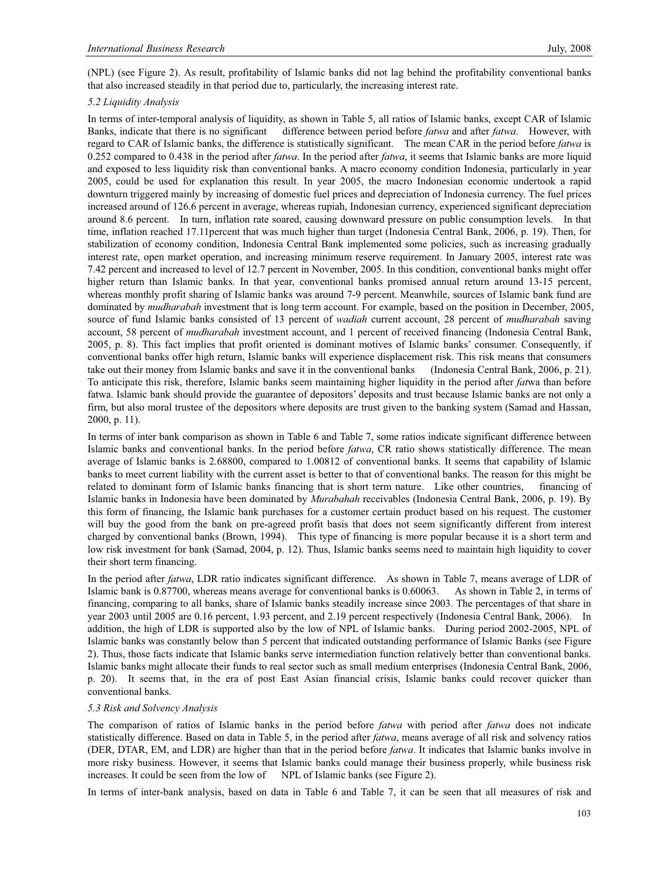(NPL) (see Figure 2). As result, profitability of Islamic banks did not lag behind the profitability conventional banks that also increased steadily in that period due to, particularly, the increasing interest rate.

#### *5.2 Liquidity Analysis*

In terms of inter-temporal analysis of liquidity, as shown in Table 5, all ratios of Islamic banks, except CAR of Islamic Banks, indicate that there is no significant difference between period before *fatwa* and after *fatwa*. However, with regard to CAR of Islamic banks, the difference is statistically significant. The mean CAR in the period before *fatwa* is 0.252 compared to 0.438 in the period after *fatwa*. In the period after *fatwa*, it seems that Islamic banks are more liquid and exposed to less liquidity risk than conventional banks. A macro economy condition Indonesia, particularly in year 2005, could be used for explanation this result. In year 2005, the macro Indonesian economic undertook a rapid downturn triggered mainly by increasing of domestic fuel prices and depreciation of Indonesia currency. The fuel prices increased around of 126.6 percent in average, whereas rupiah, Indonesian currency, experienced significant depreciation around 8.6 percent. In turn, inflation rate soared, causing downward pressure on public consumption levels. In that time, inflation reached 17.11percent that was much higher than target (Indonesia Central Bank, 2006, p. 19). Then, for stabilization of economy condition, Indonesia Central Bank implemented some policies, such as increasing gradually interest rate, open market operation, and increasing minimum reserve requirement. In January 2005, interest rate was 7.42 percent and increased to level of 12.7 percent in November, 2005. In this condition, conventional banks might offer higher return than Islamic banks. In that year, conventional banks promised annual return around 13-15 percent, whereas monthly profit sharing of Islamic banks was around 7-9 percent. Meanwhile, sources of Islamic bank fund are dominated by *mudharabah* investment that is long term account. For example, based on the position in December, 2005, source of fund Islamic banks consisted of 13 percent of *wadiah* current account, 28 percent of *mudharabah* saving account, 58 percent of *mudharabah* investment account, and 1 percent of received financing (Indonesia Central Bank, 2005, p. 8). This fact implies that profit oriented is dominant motives of Islamic banks' consumer. Consequently, if conventional banks offer high return, Islamic banks will experience displacement risk. This risk means that consumers take out their money from Islamic banks and save it in the conventional banks (Indonesia Central Bank, 2006, p. 21). To anticipate this risk, therefore, Islamic banks seem maintaining higher liquidity in the period after *fat*wa than before fatwa. Islamic bank should provide the guarantee of depositors' deposits and trust because Islamic banks are not only a firm, but also moral trustee of the depositors where deposits are trust given to the banking system (Samad and Hassan, 2000, p. 11).

In terms of inter bank comparison as shown in Table 6 and Table 7, some ratios indicate significant difference between Islamic banks and conventional banks. In the period before *fatwa*, CR ratio shows statistically difference. The mean average of Islamic banks is 2.68800, compared to 1.00812 of conventional banks. It seems that capability of Islamic banks to meet current liability with the current asset is better to that of conventional banks. The reason for this might be related to dominant form of Islamic banks financing that is short term nature. Like other countries, financing of Islamic banks in Indonesia have been dominated by *Murabahah* receivables (Indonesia Central Bank, 2006, p. 19). By this form of financing, the Islamic bank purchases for a customer certain product based on his request. The customer will buy the good from the bank on pre-agreed profit basis that does not seem significantly different from interest charged by conventional banks (Brown, 1994). This type of financing is more popular because it is a short term and low risk investment for bank (Samad, 2004, p. 12). Thus, Islamic banks seems need to maintain high liquidity to cover their short term financing.

In the period after *fatwa*, LDR ratio indicates significant difference. As shown in Table 7, means average of LDR of Islamic bank is 0.87700, whereas means average for conventional banks is 0.60063. As shown in Table 2, in terms of financing, comparing to all banks, share of Islamic banks steadily increase since 2003. The percentages of that share in year 2003 until 2005 are 0.16 percent, 1.93 percent, and 2.19 percent respectively (Indonesia Central Bank, 2006). In addition, the high of LDR is supported also by the low of NPL of Islamic banks. During period 2002-2005, NPL of Islamic banks was constantly below than 5 percent that indicated outstanding performance of Islamic Banks (see Figure 2). Thus, those facts indicate that Islamic banks serve intermediation function relatively better than conventional banks. Islamic banks might allocate their funds to real sector such as small medium enterprises (Indonesia Central Bank, 2006, p. 20). It seems that, in the era of post East Asian financial crisis, Islamic banks could recover quicker than conventional banks.

#### *5.3 Risk and Solvency Analysis*

The comparison of ratios of Islamic banks in the period before *fatwa* with period after *fatwa* does not indicate statistically difference. Based on data in Table 5, in the period after *fatwa*, means average of all risk and solvency ratios (DER, DTAR, EM, and LDR) are higher than that in the period before *fatwa*. It indicates that Islamic banks involve in more risky business. However, it seems that Islamic banks could manage their business properly, while business risk increases. It could be seen from the low of NPL of Islamic banks (see Figure 2).

In terms of inter-bank analysis, based on data in Table 6 and Table 7, it can be seen that all measures of risk and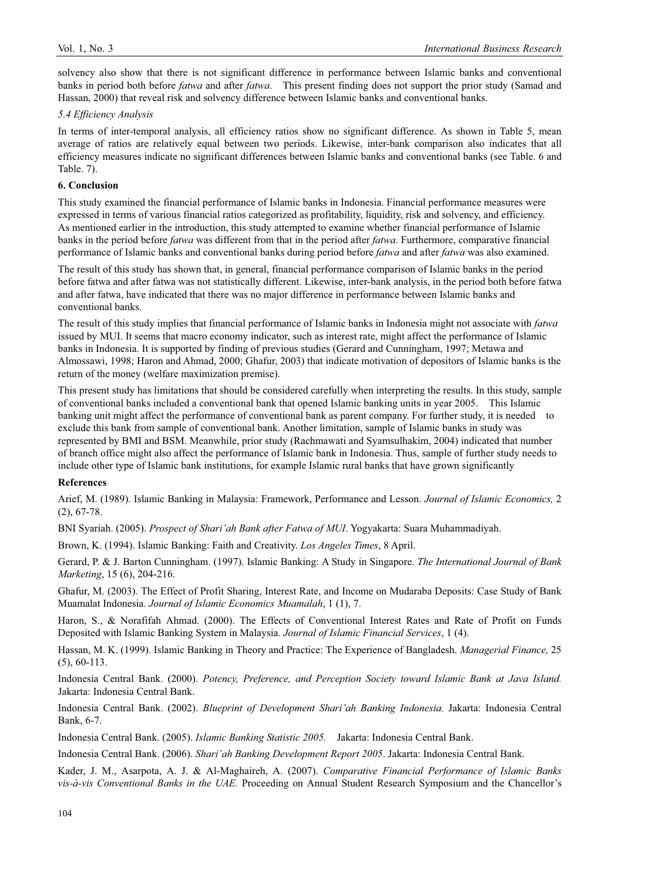solvency also show that there is not significant difference in performance between Islamic banks and conventional banks in period both before *fatwa* and after *fatwa*. This present finding does not support the prior study (Samad and Hassan, 2000) that reveal risk and solvency difference between Islamic banks and conventional banks.

# *5.4 Efficiency Analysis*

In terms of inter-temporal analysis, all efficiency ratios show no significant difference. As shown in Table 5, mean average of ratios are relatively equal between two periods. Likewise, inter-bank comparison also indicates that all efficiency measures indicate no significant differences between Islamic banks and conventional banks (see Table. 6 and Table. 7).

# **6. Conclusion**

This study examined the financial performance of Islamic banks in Indonesia. Financial performance measures were expressed in terms of various financial ratios categorized as profitability, liquidity, risk and solvency, and efficiency. As mentioned earlier in the introduction, this study attempted to examine whether financial performance of Islamic banks in the period before *fatwa* was different from that in the period after *fatwa*. Furthermore, comparative financial performance of Islamic banks and conventional banks during period before *fatwa* and after *fatwa* was also examined.

The result of this study has shown that, in general, financial performance comparison of Islamic banks in the period before fatwa and after fatwa was not statistically different. Likewise, inter-bank analysis, in the period both before fatwa and after fatwa, have indicated that there was no major difference in performance between Islamic banks and conventional banks.

The result of this study implies that financial performance of Islamic banks in Indonesia might not associate with *fatwa* issued by MUI. It seems that macro economy indicator, such as interest rate, might affect the performance of Islamic banks in Indonesia. It is supported by finding of previous studies (Gerard and Cunningham, 1997; Metawa and Almossawi, 1998; Haron and Ahmad, 2000; Ghafur, 2003) that indicate motivation of depositors of Islamic banks is the return of the money (welfare maximization premise).

This present study has limitations that should be considered carefully when interpreting the results. In this study, sample of conventional banks included a conventional bank that opened Islamic banking units in year 2005. This Islamic banking unit might affect the performance of conventional bank as parent company. For further study, it is needed to exclude this bank from sample of conventional bank. Another limitation, sample of Islamic banks in study was represented by BMI and BSM. Meanwhile, prior study (Rachmawati and Syamsulhakim, 2004) indicated that number of branch office might also affect the performance of Islamic bank in Indonesia. Thus, sample of further study needs to include other type of Islamic bank institutions, for example Islamic rural banks that have grown significantly

# **References**

Arief, M. (1989). Islamic Banking in Malaysia: Framework, Performance and Lesson. *Journal of Islamic Economics,* 2 (2), 67-78.

BNI Syariah. (2005). *Prospect of Shari'ah Bank after Fatwa of MUI*. Yogyakarta: Suara Muhammadiyah.

Brown, K. (1994). Islamic Banking: Faith and Creativity. *Los Angeles Times*, 8 April.

Gerard, P. & J. Barton Cunningham. (1997). Islamic Banking: A Study in Singapore. *The International Journal of Bank Marketing*, 15 (6), 204-216.

Ghafur, M. (2003). The Effect of Profit Sharing, Interest Rate, and Income on Mudaraba Deposits: Case Study of Bank Muamalat Indonesia. *Journal of Islamic Economics Muamalah*, 1 (1), 7.

Haron, S., & Norafifah Ahmad. (2000). The Effects of Conventional Interest Rates and Rate of Profit on Funds Deposited with Islamic Banking System in Malaysia. *Journal of Islamic Financial Services*, 1 (4).

Hassan, M. K. (1999). Islamic Banking in Theory and Practice: The Experience of Bangladesh. *Managerial Finance,* 25 (5), 60-113.

Indonesia Central Bank. (2000). *Potency, Preference, and Perception Society toward Islamic Bank at Java Island.* Jakarta: Indonesia Central Bank.

Indonesia Central Bank. (2002). *Blueprint of Development Shari'ah Banking Indonesia.* Jakarta: Indonesia Central Bank, 6-7.

Indonesia Central Bank. (2005). *Islamic Banking Statistic 2005.* Jakarta: Indonesia Central Bank.

Indonesia Central Bank. (2006). *Shari'ah Banking Development Report 2005*. Jakarta: Indonesia Central Bank.

Kader, J. M., Asarpota, A. J. & Al-Maghaireh, A. (2007). *Comparative Financial Performance of Islamic Banks vis-à-vis Conventional Banks in the UAE.* Proceeding on Annual Student Research Symposium and the Chancellor's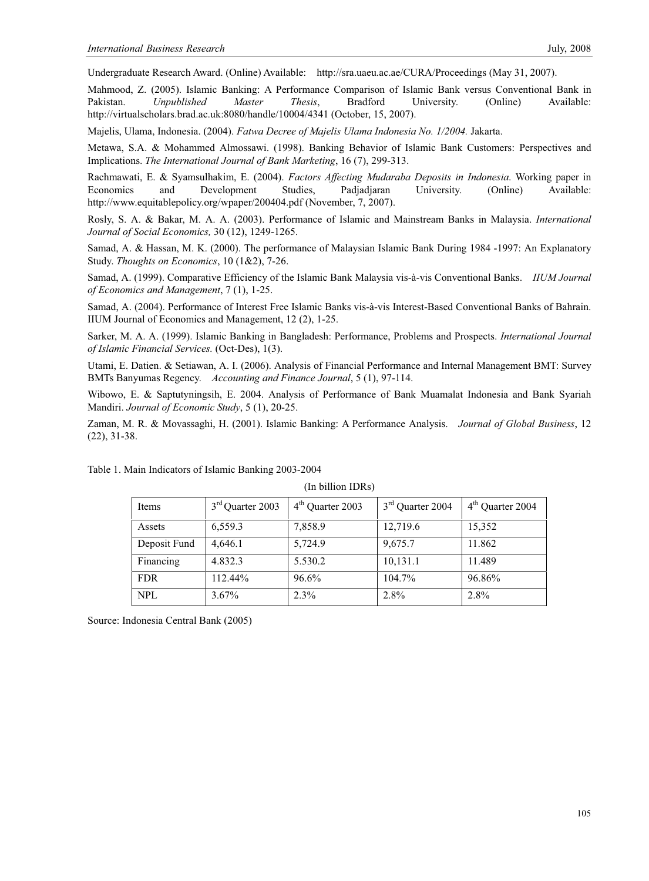Undergraduate Research Award. (Online) Available: http://sra.uaeu.ac.ae/CURA/Proceedings (May 31, 2007).

Mahmood, Z. (2005). Islamic Banking: A Performance Comparison of Islamic Bank versus Conventional Bank in Pakistan. *Unpublished Master Thesis*, Bradford University. (Online) Available: http://virtualscholars.brad.ac.uk:8080/handle/10004/4341 (October, 15, 2007).

Majelis, Ulama, Indonesia. (2004). *Fatwa Decree of Majelis Ulama Indonesia No. 1/2004.* Jakarta.

Metawa, S.A. & Mohammed Almossawi. (1998). Banking Behavior of Islamic Bank Customers: Perspectives and Implications. *The International Journal of Bank Marketing*, 16 (7), 299-313.

Rachmawati, E. & Syamsulhakim, E. (2004). *Factors Affecting Mudaraba Deposits in Indonesia*. Working paper in Economics and Development Studies, Padjadjaran University. (Online) Available: http://www.equitablepolicy.org/wpaper/200404.pdf (November, 7, 2007).

Rosly, S. A. & Bakar, M. A. A. (2003). Performance of Islamic and Mainstream Banks in Malaysia. *International Journal of Social Economics,* 30 (12), 1249-1265.

Samad, A. & Hassan, M. K. (2000). The performance of Malaysian Islamic Bank During 1984 -1997: An Explanatory Study. *Thoughts on Economics*, 10 (1&2), 7-26.

Samad, A. (1999). Comparative Efficiency of the Islamic Bank Malaysia vis-à-vis Conventional Banks. *IIUM Journal of Economics and Management*, 7 (1), 1-25.

Samad, A. (2004). Performance of Interest Free Islamic Banks vis-à-vis Interest-Based Conventional Banks of Bahrain. IIUM Journal of Economics and Management, 12 (2), 1-25.

Sarker, M. A. A. (1999). Islamic Banking in Bangladesh: Performance, Problems and Prospects. *International Journal of Islamic Financial Services.* (Oct-Des), 1(3).

Utami, E. Datien. & Setiawan, A. I. (2006). Analysis of Financial Performance and Internal Management BMT: Survey BMTs Banyumas Regency. *Accounting and Finance Journal*, 5 (1), 97-114.

Wibowo, E. & Saptutyningsih, E. 2004. Analysis of Performance of Bank Muamalat Indonesia and Bank Syariah Mandiri. *Journal of Economic Study*, 5 (1), 20-25.

Zaman, M. R. & Movassaghi, H. (2001). Islamic Banking: A Performance Analysis. *Journal of Global Business*, 12 (22), 31-38.

(In billion IDRs)

| Items        | $3rd$ Quarter 2003 | $4th$ Quarter 2003 | $3rd$ Quarter 2004 | $4th$ Quarter 2004 |
|--------------|--------------------|--------------------|--------------------|--------------------|
| Assets       | 6,559.3            | 7,858.9            | 12,719.6           | 15,352             |
| Deposit Fund | 4.646.1            | 5,724.9            | 9,675.7            | 11.862             |
| Financing    | 4.832.3            | 5.530.2            | 10,131.1           | 11.489             |
| <b>FDR</b>   | 112.44%            | 96.6%              | 104.7%             | 96.86%             |
| <b>NPL</b>   | $3.67\%$           | $2.3\%$            | $2.8\%$            | 2.8%               |

Table 1. Main Indicators of Islamic Banking 2003-2004

Source: Indonesia Central Bank (2005)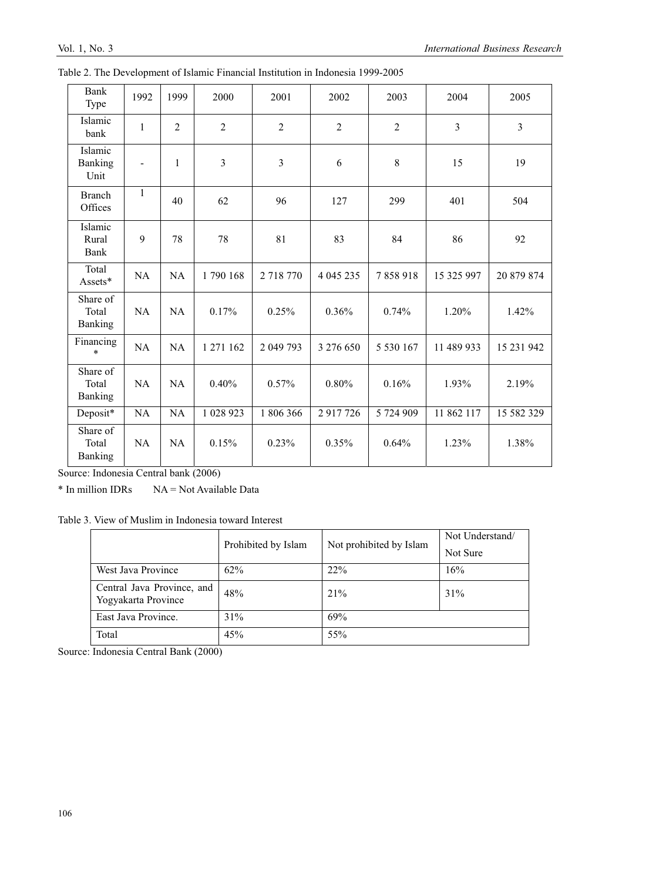| Bank<br>Type                 | 1992         | 1999           | 2000           | 2001           | 2002           | 2003           | 2004       | 2005                    |
|------------------------------|--------------|----------------|----------------|----------------|----------------|----------------|------------|-------------------------|
| Islamic<br>bank              | $\mathbf{1}$ | $\overline{2}$ | $\overline{c}$ | $\overline{c}$ | $\overline{2}$ | $\overline{2}$ | 3          | $\overline{\mathbf{3}}$ |
| Islamic<br>Banking<br>Unit   |              | $\mathbf{1}$   | 3              | 3              | 6              | 8              | 15         | 19                      |
| <b>Branch</b><br>Offices     | $\mathbf{1}$ | 40             | 62             | 96             | 127            | 299            | 401        | 504                     |
| Islamic<br>Rural<br>Bank     | 9            | 78             | 78             | 81             | 83             | 84             | 86         | 92                      |
| Total<br>$Assets*$           | <b>NA</b>    | <b>NA</b>      | 1 790 168      | 2 718 770      | 4 045 235      | 7858918        | 15 325 997 | 20 879 874              |
| Share of<br>Total<br>Banking | <b>NA</b>    | <b>NA</b>      | 0.17%          | 0.25%          | 0.36%          | 0.74%          | 1.20%      | 1.42%                   |
| Financing<br>$\ast$          | NA           | NA             | 1 271 162      | 2 049 793      | 3 276 650      | 5 530 167      | 11 489 933 | 15 231 942              |
| Share of<br>Total<br>Banking | NA           | NA             | 0.40%          | $0.57\%$       | 0.80%          | 0.16%          | 1.93%      | 2.19%                   |
| Deposit*                     | NA           | <b>NA</b>      | 1 028 923      | 1 806 366      | 2 9 17 7 26    | 5 724 909      | 11 862 117 | 15 582 329              |
| Share of<br>Total<br>Banking | NA           | <b>NA</b>      | 0.15%          | 0.23%          | 0.35%          | 0.64%          | 1.23%      | 1.38%                   |

| Table 2. The Development of Islamic Financial Institution in Indonesia 1999-2005 |  |  |
|----------------------------------------------------------------------------------|--|--|
|----------------------------------------------------------------------------------|--|--|

Source: Indonesia Central bank (2006)

 $*$  In million IDRs  $NA = Not$  Available Data

Table 3. View of Muslim in Indonesia toward Interest

|                                                   | Prohibited by Islam | Not prohibited by Islam | Not Sure |
|---------------------------------------------------|---------------------|-------------------------|----------|
| West Java Province                                | 62%                 | $22\%$                  | 16%      |
| Central Java Province, and<br>Yogyakarta Province | 48%                 | 21%                     | 31%      |
| East Java Province.                               | 31%                 | 69%                     |          |
| Total                                             | 45%                 | 55%                     |          |

Source: Indonesia Central Bank (2000)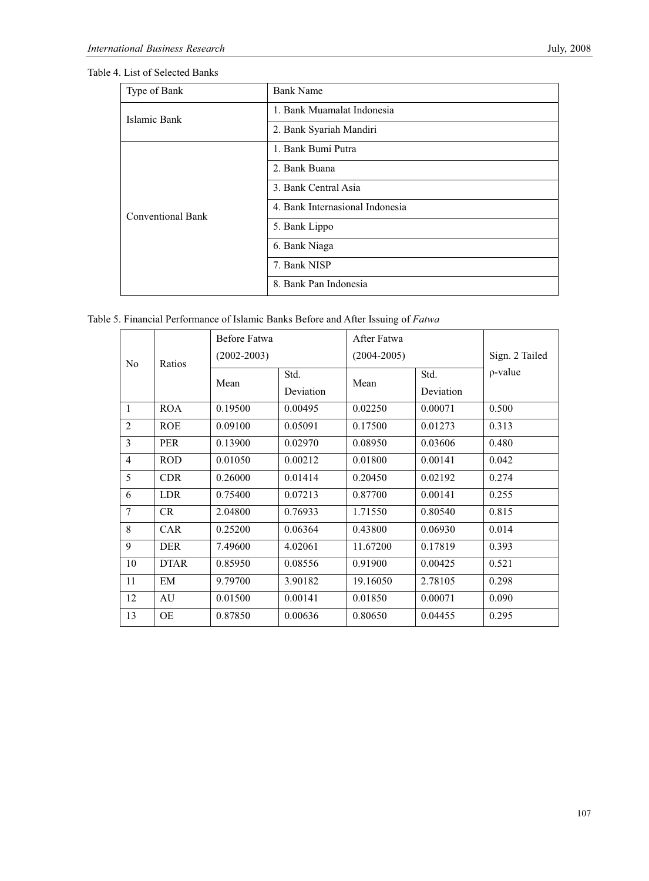Table 4. List of Selected Banks

| Type of Bank      | <b>Bank Name</b>                |
|-------------------|---------------------------------|
| Islamic Bank      | 1. Bank Muamalat Indonesia      |
|                   | 2. Bank Syariah Mandiri         |
|                   | 1. Bank Bumi Putra              |
|                   | 2. Bank Buana                   |
|                   | 3. Bank Central Asia            |
| Conventional Bank | 4. Bank Internasional Indonesia |
|                   | 5. Bank Lippo                   |
|                   | 6. Bank Niaga                   |
|                   | 7. Bank NISP                    |
|                   | 8. Bank Pan Indonesia           |

Table 5. Financial Performance of Islamic Banks Before and After Issuing of *Fatwa*

|                |             | <b>Before Fatwa</b><br>$(2002 - 2003)$ |           | After Fatwa | $(2004 - 2005)$ |         |  |
|----------------|-------------|----------------------------------------|-----------|-------------|-----------------|---------|--|
| N <sub>0</sub> | Ratios      |                                        |           |             |                 |         |  |
|                |             | Mean                                   | Std.      | Mean        | Std.            | p-value |  |
|                |             |                                        | Deviation |             | Deviation       |         |  |
| $\mathbf{1}$   | <b>ROA</b>  | 0.19500                                | 0.00495   | 0.02250     | 0.00071         | 0.500   |  |
| $\overline{2}$ | <b>ROE</b>  | 0.09100                                | 0.05091   | 0.17500     | 0.01273         | 0.313   |  |
| 3              | PER         | 0.13900                                | 0.02970   | 0.08950     | 0.03606         | 0.480   |  |
| $\overline{4}$ | <b>ROD</b>  | 0.01050                                | 0.00212   | 0.01800     | 0.00141         | 0.042   |  |
| 5              | <b>CDR</b>  | 0.26000                                | 0.01414   | 0.20450     | 0.02192         | 0.274   |  |
| 6              | <b>LDR</b>  | 0.75400                                | 0.07213   | 0.87700     | 0.00141         | 0.255   |  |
| $\overline{7}$ | <b>CR</b>   | 2.04800                                | 0.76933   | 1.71550     | 0.80540         | 0.815   |  |
| 8              | <b>CAR</b>  | 0.25200                                | 0.06364   | 0.43800     | 0.06930         | 0.014   |  |
| 9              | DER         | 7.49600                                | 4.02061   | 11.67200    | 0.17819         | 0.393   |  |
| 10             | <b>DTAR</b> | 0.85950                                | 0.08556   | 0.91900     | 0.00425         | 0.521   |  |
| 11             | EM          | 9.79700                                | 3.90182   | 19.16050    | 2.78105         | 0.298   |  |
| 12             | AU          | 0.01500                                | 0.00141   | 0.01850     | 0.00071         | 0.090   |  |
| 13             | OE          | 0.87850                                | 0.00636   | 0.80650     | 0.04455         | 0.295   |  |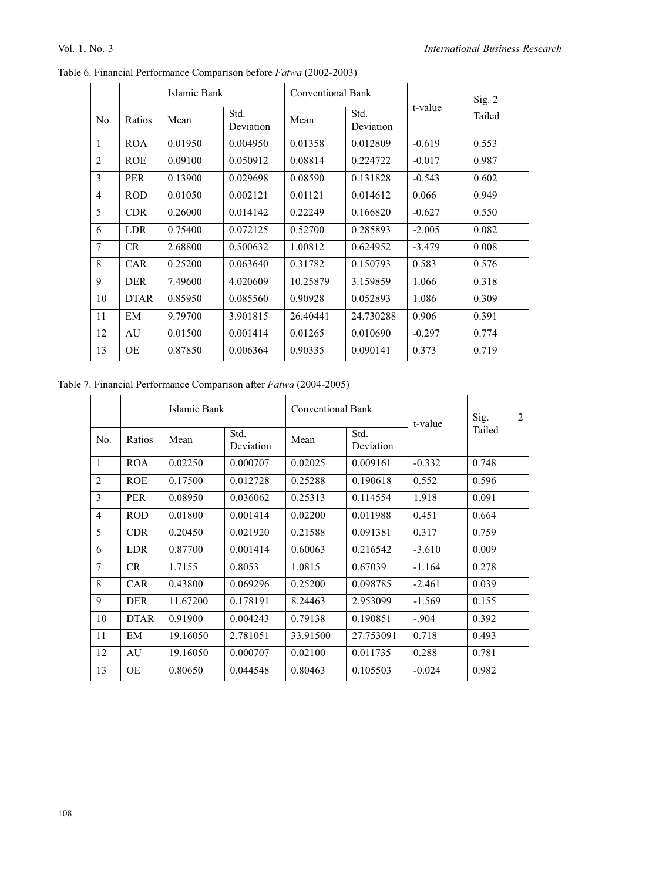|                |             | Islamic Bank |                          |          | Conventional Bank |          | Sig. 2 |
|----------------|-------------|--------------|--------------------------|----------|-------------------|----------|--------|
| No.            | Ratios      | Mean         | Std.<br><b>Deviation</b> | Mean     | Std.<br>Deviation | t-value  | Tailed |
| $\mathbf{1}$   | <b>ROA</b>  | 0.01950      | 0.004950                 | 0.01358  | 0.012809          | $-0.619$ | 0.553  |
| 2              | <b>ROE</b>  | 0.09100      | 0.050912                 | 0.08814  | 0.224722          | $-0.017$ | 0.987  |
| 3              | <b>PER</b>  | 0.13900      | 0.029698                 | 0.08590  | 0.131828          | $-0.543$ | 0.602  |
| $\overline{4}$ | <b>ROD</b>  | 0.01050      | 0.002121                 | 0.01121  | 0.014612          | 0.066    | 0.949  |
| 5              | <b>CDR</b>  | 0.26000      | 0.014142                 | 0.22249  | 0.166820          | $-0.627$ | 0.550  |
| 6              | <b>LDR</b>  | 0.75400      | 0.072125                 | 0.52700  | 0.285893          | $-2.005$ | 0.082  |
| 7              | CR.         | 2.68800      | 0.500632                 | 1.00812  | 0.624952          | $-3.479$ | 0.008  |
| 8              | <b>CAR</b>  | 0.25200      | 0.063640                 | 0.31782  | 0.150793          | 0.583    | 0.576  |
| 9              | <b>DER</b>  | 7.49600      | 4.020609                 | 10.25879 | 3.159859          | 1.066    | 0.318  |
| 10             | <b>DTAR</b> | 0.85950      | 0.085560                 | 0.90928  | 0.052893          | 1.086    | 0.309  |
| 11             | EM          | 9.79700      | 3.901815                 | 26.40441 | 24.730288         | 0.906    | 0.391  |
| 12             | AU          | 0.01500      | 0.001414                 | 0.01265  | 0.010690          | $-0.297$ | 0.774  |
| 13             | <b>OE</b>   | 0.87850      | 0.006364                 | 0.90335  | 0.090141          | 0.373    | 0.719  |

Table 6. Financial Performance Comparison before *Fatwa* (2002-2003)

Table 7. Financial Performance Comparison after *Fatwa* (2004-2005)

|                |             | Islamic Bank | Conventional Bank |          | t-value           | $\overline{2}$<br>Sig. |        |
|----------------|-------------|--------------|-------------------|----------|-------------------|------------------------|--------|
| No.            | Ratios      | Mean         | Std.<br>Deviation | Mean     | Std.<br>Deviation |                        | Tailed |
| 1              | <b>ROA</b>  | 0.02250      | 0.000707          | 0.02025  | 0.009161          | $-0.332$               | 0.748  |
| $\overline{2}$ | <b>ROE</b>  | 0.17500      | 0.012728          | 0.25288  | 0.190618          | 0.552                  | 0.596  |
| 3              | <b>PER</b>  | 0.08950      | 0.036062          | 0.25313  | 0.114554          | 1.918                  | 0.091  |
| $\overline{4}$ | <b>ROD</b>  | 0.01800      | 0.001414          | 0.02200  | 0.011988          | 0.451                  | 0.664  |
| 5              | <b>CDR</b>  | 0.20450      | 0.021920          | 0.21588  | 0.091381          | 0.317                  | 0.759  |
| 6              | <b>LDR</b>  | 0.87700      | 0.001414          | 0.60063  | 0.216542          | $-3.610$               | 0.009  |
| 7              | <b>CR</b>   | 1.7155       | 0.8053            | 1.0815   | 0.67039           | $-1.164$               | 0.278  |
| 8              | <b>CAR</b>  | 0.43800      | 0.069296          | 0.25200  | 0.098785          | $-2.461$               | 0.039  |
| 9              | <b>DER</b>  | 11.67200     | 0.178191          | 8.24463  | 2.953099          | $-1.569$               | 0.155  |
| 10             | <b>DTAR</b> | 0.91900      | 0.004243          | 0.79138  | 0.190851          | $-.904$                | 0.392  |
| 11             | EM          | 19.16050     | 2.781051          | 33.91500 | 27.753091         | 0.718                  | 0.493  |
| 12             | AU          | 19.16050     | 0.000707          | 0.02100  | 0.011735          | 0.288                  | 0.781  |
| 13             | <b>OE</b>   | 0.80650      | 0.044548          | 0.80463  | 0.105503          | $-0.024$               | 0.982  |